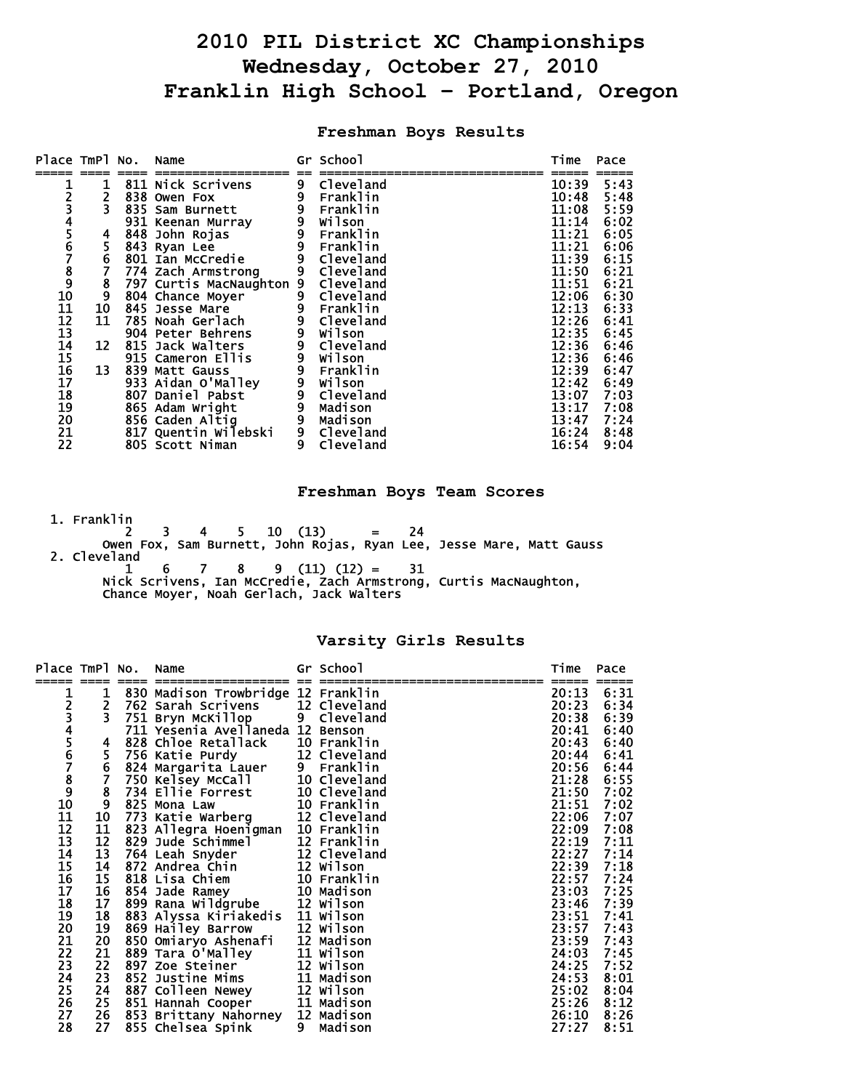# **2010 PIL District XC Championships Wednesday, October 27, 2010 Franklin High School – Portland, Oregon**

## **Freshman Boys Results**

| Place TmPl No.                     |                         | Name                                  |                | Gr School                                                                                                        | Time           | Pace         |
|------------------------------------|-------------------------|---------------------------------------|----------------|------------------------------------------------------------------------------------------------------------------|----------------|--------------|
|                                    |                         | 811 Nick Scrivens                     |                | - Cleveland<br>9 Franklin<br>9 Franklin<br>9 Franklin<br>9 Franklin<br>9 Cleveland<br>9 Cleveland<br>9 Cleveland | 10:39          | 5:43         |
|                                    |                         | 838 Owen Fox                          |                |                                                                                                                  | 10:48          | 5:48         |
|                                    | $\overline{\mathbf{3}}$ | 835 Sam Burnett                       |                |                                                                                                                  | 11:08          | 5:59         |
| 12345678910                        |                         | 931 Keenan Murray                     |                |                                                                                                                  | 11:14          | 6:02         |
|                                    | 4                       | 848 John Rojas                        |                |                                                                                                                  | 11:21          | 6:05         |
|                                    | 5                       | 843 Ryan Lee                          |                |                                                                                                                  | 11:21          | 6:06         |
|                                    | $\boldsymbol{6}$        | 801 Ian McCredie                      |                |                                                                                                                  | 11:39          | 6:15         |
|                                    |                         | 774 Zach Armstrong                    |                |                                                                                                                  | 11:50          | 6:21         |
|                                    | 8                       | 797 Curtis MacNaughton 9 Cleveland    |                |                                                                                                                  | 11:51          | 6:21         |
|                                    | 9                       | 804 Chance Moyer                      |                | 9 Cleveland<br>9 Franklin                                                                                        | 12:06          | 6:30         |
|                                    | 10                      | 845 Jesse Mare                        |                |                                                                                                                  | 12:13          | 6:33         |
| $\frac{11}{12}$<br>$\frac{12}{13}$ | 11                      | 785 Noah Gerlach                      |                | 9 Cleveland                                                                                                      | 12:26          | 6:41         |
|                                    |                         | 904 Peter Behrens                     | $\overline{9}$ | Wilson                                                                                                           | 12:35          | 6:45         |
|                                    | 12                      | 815 Jack Walters<br>915 Cameron Ellis |                |                                                                                                                  | 12:36          | 6:46         |
|                                    | 13                      | 839 Matt Gauss                        |                |                                                                                                                  | 12:36<br>12:39 | 6:46<br>6:47 |
| <b>14<br/>15<br/>16<br/>17</b>     |                         | 933 Aidan O'Malley                    |                |                                                                                                                  | 12:42          | 6:49         |
| 18                                 |                         | 807 Daniel Pabst                      |                |                                                                                                                  | 13:07          | 7:03         |
| 19                                 |                         | 865 Adam Wright                       |                | 9<br>Priveland<br>9<br>Pranklin<br>9<br>Wilson<br>9<br>Madison<br>9<br>Madison                                   | 13:17          | 7:08         |
|                                    |                         | 856 Caden Altig                       | 9              | Madison                                                                                                          | 13:47          | 7:24         |
| 20<br>21                           |                         | 817 Quentin Wilebski                  |                | 9 Cleveland                                                                                                      | 16:24          | 8:48         |
| 22                                 |                         | 805 Scott Niman                       |                | 9 Cleveland                                                                                                      | 16:54          | 9:04         |

## **Freshman Boys Team Scores**

1. Franklin

 2 3 4 5 10 (13) = 24 Owen Fox, Sam Burnett, John Rojas, Ryan Lee, Jesse Mare, Matt Gauss 2. Cleveland  $1 \t6 \t7 \t8 \t9 \t(11) \t(12) = 31$ Nick Scrivens, Ian McCredie, Zach Armstrong, Curtis MacNaughton,

## Chance Moyer, Noah Gerlach, Jack Walters

#### **Varsity Girls Results**

| Place TmPl No.       |                                       | Name                                                                |       | Gr School    | Time  | Pace |
|----------------------|---------------------------------------|---------------------------------------------------------------------|-------|--------------|-------|------|
|                      | $\mathbf 1$                           | 830 Madison Trowbridge 12 Franklin                                  |       |              | 20:13 | 6:31 |
|                      |                                       | 762 Sarah Scrivens <sup>7</sup> 12 Cleveland                        |       |              | 20:23 | 6:34 |
|                      | $\frac{2}{3}$                         | 751 Bryn McKillop                                                   |       | 9 Cleveland  | 20:38 | 6:39 |
| 12345678910          |                                       | 711 Yesenia Avellaneda 12 Benson                                    |       |              | 20:41 | 6:40 |
|                      | 4                                     | 828 Chloe Retallack                                                 |       | 10 Franklin  | 20:43 | 6:40 |
|                      |                                       | 756 Katie Purdy                                                     |       | 12 Cleveland | 20:44 | 6:41 |
|                      | $\frac{5}{6}$                         | 824 Margarita Lauer                                                 | $9 -$ | Franklin     | 20:56 | 6:44 |
|                      |                                       | 750 Kelsey McCall                                                   |       | 10 Cleveland | 21:28 | 6:55 |
|                      | $\begin{array}{c} 8 \\ 9 \end{array}$ | 734 Ellie Forrest                                                   |       | 10 Cleveland | 21:50 | 7:02 |
|                      |                                       | 825 Mona Law                                                        |       | 10 Franklin  | 21:51 | 7:02 |
| 11                   | 10                                    | 773 Katie Warberg 12 Cleveland<br>823 Allegra Hoenigman 10 Franklin |       |              | 22:06 | 7:07 |
| 12                   | 11                                    |                                                                     |       |              | 22:09 | 7:08 |
| 13                   | 12                                    | 829 Jude Schimmel                                                   |       | 12 Franklin  | 22:19 | 7:11 |
| 14                   | 13                                    | 764 Leah Snyder                                                     |       | 12 Cleveland | 22:27 | 7:14 |
| 15<br>16<br>17<br>18 | 14                                    | 872 Andrea Chin                                                     |       | 12 Wilson    | 22:39 | 7:18 |
|                      | 15                                    | 818 Lisa Chiem                                                      |       | 10 Franklin  | 22:57 | 7:24 |
|                      | 16                                    | 854 Jade Ramey                                                      |       | 10 Madison   | 23:03 | 7:25 |
|                      | 17                                    | 899 Rana Wildgrube 12 Wilson                                        |       |              | 23:46 | 7:39 |
| 19<br>20             | 18                                    | 883 Alyssa Kiriakedis 11 Wilson                                     |       |              | 23:51 | 7:41 |
|                      | 19                                    |                                                                     |       |              | 23:57 | 7:43 |
| 21                   | 20                                    | 869 Hailey Barrow 12 Wilson<br>850 Omiaryo Ashenafi 12 Madison      |       |              | 23:59 | 7:43 |
| 22                   | 21                                    | 889 Tara O'Malley                                                   |       | 11 Wilson    | 24:03 | 7:45 |
| 23                   | 22                                    | 897 Zoe Steiner                                                     |       | 12 Wilson    | 24:25 | 7:52 |
| 24                   | 23                                    | 852 Justine Mims                                                    |       | 11 Madison   | 24:53 | 8:01 |
| 25                   | 24                                    | 887 Colleen Newey 12 Wilson                                         |       |              | 25:02 | 8:04 |
| 26                   | 25                                    | 851 Hannah Cooper                                                   |       | 11 Madison   | 25:26 | 8:12 |
| 27                   | 26                                    | 853 Brittany Nahorney 12 Madison                                    |       |              | 26:10 | 8:26 |
| 28                   | 27                                    | 855 Chelsea Spink                                                   | 9     | Madison      | 27:27 | 8:51 |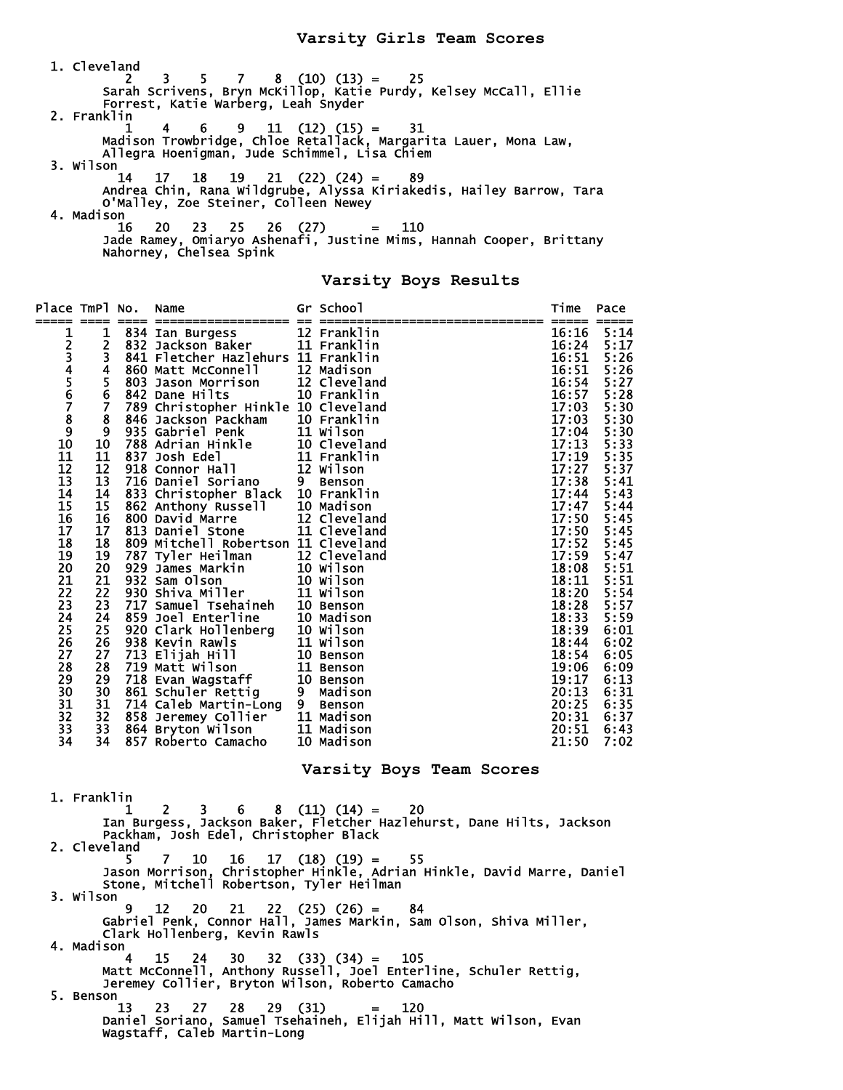1. Cleveland 2 3 5 7 8 (10) (13) = 25 Sarah Scrivens, Bryn McKillop, Katie Purdy, Kelsey McCall, Ellie Forrest, Katie Warberg, Leah Snyder 2. Franklin  $1 \quad 4 \quad 6 \quad 9 \quad 11 \quad (12) \quad (15) = \quad 31$  Madison Trowbridge, Chloe Retallack, Margarita Lauer, Mona Law, Allegra Hoenigman, Jude Schimmel, Lisa Chiem 3. Wilson 14 17 18 19 21 (22) (24) = 89 Andrea Chin, Rana Wildgrube, Alyssa Kiriakedis, Hailey Barrow, Tara O'Malley, Zoe Steiner, Colleen Newey 4. Madison 16 20 23 25 26 (27) = 110 Jade Ramey, Omiaryo Ashenafi, Justine Mims, Hannah Cooper, Brittany Nahorney, Chelsea Spink

#### **Varsity Boys Results**

| Place TmPl No.                                                                                                                                                                                                                                                                                                                                                                                                                                                                                                                                        |                                                                                                                                                                                                                                      |  | Name<br>. ==============                                                                                                                                                                                                                                                                                                                                                                                                                                                                                                                                                                                                                                                                                                                                                                                                 |  | Gr School                                 | Time                                                                                                                                                                                                                                                                                                           | Pace                                                                                                                                                                                                                                                                         |  |  |
|-------------------------------------------------------------------------------------------------------------------------------------------------------------------------------------------------------------------------------------------------------------------------------------------------------------------------------------------------------------------------------------------------------------------------------------------------------------------------------------------------------------------------------------------------------|--------------------------------------------------------------------------------------------------------------------------------------------------------------------------------------------------------------------------------------|--|--------------------------------------------------------------------------------------------------------------------------------------------------------------------------------------------------------------------------------------------------------------------------------------------------------------------------------------------------------------------------------------------------------------------------------------------------------------------------------------------------------------------------------------------------------------------------------------------------------------------------------------------------------------------------------------------------------------------------------------------------------------------------------------------------------------------------|--|-------------------------------------------|----------------------------------------------------------------------------------------------------------------------------------------------------------------------------------------------------------------------------------------------------------------------------------------------------------------|------------------------------------------------------------------------------------------------------------------------------------------------------------------------------------------------------------------------------------------------------------------------------|--|--|
| 123456789<br>10<br>11<br>12<br>13<br>14<br>15<br>16<br>17<br>18<br>19<br>20<br>21<br>$\overline{2}\overline{2}$<br>23<br>24<br>25<br>26<br>27<br>28<br>29<br>30<br>31<br>32<br>33<br>34                                                                                                                                                                                                                                                                                                                                                               | 1<br>2<br>3<br>4<br>5<br>6<br>$\overline{7}$<br>8<br>9<br>10<br>11<br>12<br>13<br>14<br>15<br>16<br>17<br>18<br>19<br>20<br>21<br>$\overline{2}\overline{2}$<br>23<br>24<br>25<br>26<br>27<br>28<br>29<br>30<br>31<br>32<br>33<br>34 |  | 834 Ian Burgess<br>832 Jackson Baker<br>841 Fletcher Hazlehurs 11 Franklin<br>860 Matt McConnell 12 Madison<br>803 Jason Morrison 12 Cleveland<br>842 Dane Hilts 10 Franklin<br>842 Dane Hilts<br>789 Christopher Hinkle 10 Cleveland<br>846 Jackson Packham 10 Franklin<br>846 Jackson Packnam<br>935 Gabriel Penk<br>788 Adrian Hinkle<br>837 Josh Edel<br>918 Connor Hall<br>918 Connor Hall<br>918 Connor Hall<br>918 Connor Hall<br>918 Connor Black<br>716 Daniel Strome<br>800 David Marre<br>800 David Marre<br>800 Mitel<br>809 Mitchell Robertson 11 Cleveland<br>809 Mitchell Robertson II Cleveland<br>787 Tyler Heilman 12 Cleveland<br>929 James Markin 10 Wilson<br>932 Sam Olson 10 Wilson<br>930 Shiva Miller 11 Wilson<br>717 Samuel Tsehaineh 10 Benson<br>859 Joel Enterline 10 Madison<br>820 Clark |  | 12 Franklin<br>11 Franklin<br>10 Franklin | 16:16<br>16:24<br>16:51<br>16:51<br>16:54<br>16:57<br>17:03<br>17:03<br>17:04<br>17:13<br>17:19<br>17:27<br>17:38<br>17:44<br>17:47<br>17:50<br>17:50<br>17:52<br>17:59<br>18:08<br>18:11<br>18:20<br>18:28<br>18:33<br>18:39<br>18:44<br>18:54<br>19:06<br>19:17<br>20:13<br>20:25<br>20:31<br>20:51<br>21:50 | 5:14<br>5:17<br>5:26<br>5:26<br>5:27<br>5:28<br>5:30<br>5:30<br>5:30<br>5:33<br>5:35<br>5:37<br>5:41<br>5:43<br>5:44<br>5:45<br>5:45<br>5:45<br>5:47<br>5:51<br>5:51<br>5:54<br>5:57<br>5:59<br>6:01<br>6:02<br>6:05<br>6:09<br>6:13<br>6:31<br>6:35<br>6:37<br>6:43<br>7:02 |  |  |
|                                                                                                                                                                                                                                                                                                                                                                                                                                                                                                                                                       |                                                                                                                                                                                                                                      |  |                                                                                                                                                                                                                                                                                                                                                                                                                                                                                                                                                                                                                                                                                                                                                                                                                          |  | Varsity Boys Team Scores                  |                                                                                                                                                                                                                                                                                                                |                                                                                                                                                                                                                                                                              |  |  |
| 1. Franklin<br>$(11) (14) =$<br>2<br>20<br>1<br>3.<br>6.<br>8<br>Ian Burgess, Jackson Baker, Fletcher Hazlehurst, Dane Hilts, Jackson<br>Packham, Josh Edel, Christopher Black<br>2. Cleveland<br>$17$ $(18)$ $(19)$ =<br>10<br>16<br>55<br>7<br>5<br>Jason Morrison, Christopher Hinkle, Adrian Hinkle, David Marre, Daniel<br>Stone, Mitchell Robertson, Tyler Heilman<br>3. Wilson<br>12<br>20<br>21<br>$22 (25) (26) =$<br>84<br>Gabriel Penk, Connor Hall, James Markin, Sam Olson, Shiva Miller,<br>Clark Hollenberg, Kevin Rawls<br>4. Madison |                                                                                                                                                                                                                                      |  |                                                                                                                                                                                                                                                                                                                                                                                                                                                                                                                                                                                                                                                                                                                                                                                                                          |  |                                           |                                                                                                                                                                                                                                                                                                                |                                                                                                                                                                                                                                                                              |  |  |
| 4 15 24 30 32 (33) (34) = 105<br>Matt McConnell, Anthony Russell, Joel Enterline, Schuler Rettig,                                                                                                                                                                                                                                                                                                                                                                                                                                                     |                                                                                                                                                                                                                                      |  |                                                                                                                                                                                                                                                                                                                                                                                                                                                                                                                                                                                                                                                                                                                                                                                                                          |  |                                           |                                                                                                                                                                                                                                                                                                                |                                                                                                                                                                                                                                                                              |  |  |

Jeremey Collier, Bryton Wilson, Roberto Camacho

 5. Benson 13 23 27 28 29 (31) = 120 Daniel Soriano, Samuel Tsehaineh, Elijah Hill, Matt Wilson, Evan Wagstaff, Caleb Martin-Long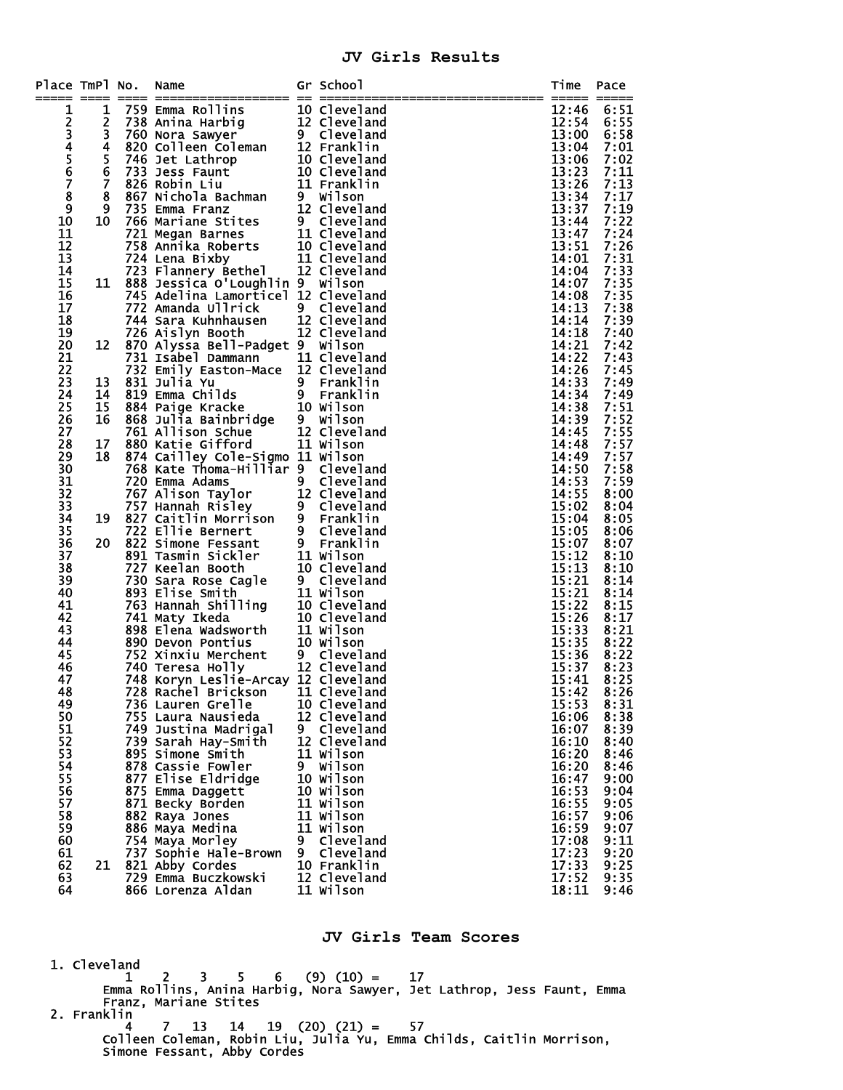## **JV Girls Results**

| Place TmPl No. |                         | Name                                                                                                                                                                                                                                                   |    | Gr School        | Time           | Pace             |
|----------------|-------------------------|--------------------------------------------------------------------------------------------------------------------------------------------------------------------------------------------------------------------------------------------------------|----|------------------|----------------|------------------|
|                |                         |                                                                                                                                                                                                                                                        |    |                  | =====          | =====            |
| 1              | 1                       |                                                                                                                                                                                                                                                        |    |                  | 12:46          | 6:51             |
|                | 2<br>3                  |                                                                                                                                                                                                                                                        |    |                  | 12:54          | 6:55             |
|                | $\overline{\mathbf{4}}$ |                                                                                                                                                                                                                                                        |    |                  | 13:00<br>13:04 | 6:58<br>7:01     |
| 23456          | 5                       |                                                                                                                                                                                                                                                        |    |                  | 13:06          | 7:02             |
|                | $\bf 6$                 |                                                                                                                                                                                                                                                        |    |                  | 13:23          | 7:11             |
| $\overline{7}$ | Ž                       |                                                                                                                                                                                                                                                        |    |                  | 13:26          | 7:13             |
| 8              | 8                       |                                                                                                                                                                                                                                                        |    |                  | 13:34          | 7:17             |
| $\overline{9}$ | $\boldsymbol{9}$        |                                                                                                                                                                                                                                                        |    |                  | 13:37          | 7:19             |
| 10             | 10                      |                                                                                                                                                                                                                                                        |    |                  | 13:44          |                  |
| 11             |                         |                                                                                                                                                                                                                                                        |    |                  | 13:47          | $7:22$<br>$7:24$ |
| 12             |                         |                                                                                                                                                                                                                                                        |    |                  | 13:51          |                  |
| 13             |                         |                                                                                                                                                                                                                                                        |    |                  | 14:01          | $7:26$<br>$7:31$ |
| 14             |                         |                                                                                                                                                                                                                                                        |    |                  | 14:04          | $7:33$<br>$7:35$ |
| 15             | 11                      |                                                                                                                                                                                                                                                        |    |                  | 14:07          |                  |
| 16             |                         | 745 Adelina Lamorticel 12 Cleveland                                                                                                                                                                                                                    |    |                  | 14:08          | 7:35             |
| 17             |                         | 772 Amanda Ullrick 9 Cleveland                                                                                                                                                                                                                         |    |                  | 14:13          | 7:38             |
| 18             |                         | 744 Sara Kuhnhausen 12 Cleveland<br>726 Aislyn Booth 12 Cleveland                                                                                                                                                                                      |    |                  | 14:14          | 7:39             |
| 19             |                         | 726 Aislyn Booth                                                                                                                                                                                                                                       |    |                  | 14:18          | 7:40             |
| 20             | 12                      | 870 Alyssa Bell-Padget 9 Wilson                                                                                                                                                                                                                        |    |                  | 14:21          | 7:42             |
| 21             |                         | 731 Isabel Dammann<br>732 Emily Easton-Mace 12 Cleveland                                                                                                                                                                                               |    |                  | 14:22          | 7:43             |
| 22             |                         |                                                                                                                                                                                                                                                        |    |                  | 14:26          | 7:45             |
| 23             | 13                      |                                                                                                                                                                                                                                                        |    |                  | 14:33          | 7:49             |
| 24             | 14                      |                                                                                                                                                                                                                                                        |    |                  | 14:34          | 7:49             |
| 25             | 15                      |                                                                                                                                                                                                                                                        |    |                  | 14:38          | 7:51             |
| 26<br>27       | 16                      |                                                                                                                                                                                                                                                        |    |                  | 14:39<br>14:45 | 7:52<br>7:55     |
| 28             | 17                      | 9 Franklin<br>831 Julia Yu<br>819 Emma Childs<br>868 Julia Bainbridge<br>868 Julia Bainbridge<br>868 Julia Bainbridge<br>874 Allison Schue<br>874 Allison Schue<br>874 Allison Schue<br>874 Allison Schue<br>874 Allison Schue<br>874 Allison<br>874 A |    |                  | 14:48          | 7:57             |
| 29             | 18                      | 874 Cailley Cole-Sigmo 11 Wilson                                                                                                                                                                                                                       |    |                  | 14:49          | 7:57             |
| 30             |                         | 768 Kate Thoma-Hilliar 9 Cleveland                                                                                                                                                                                                                     |    |                  | 14:50          | 7:58             |
| 31             |                         |                                                                                                                                                                                                                                                        |    |                  | 14:53          | 7:59             |
| 32             |                         | 768 Kate Thoma-Hilliar 9 Cleveland<br>720 Emma Adams 9 Cleveland<br>767 Alison Taylor 12 Cleveland<br>757 Hannah Risley 9 Cleveland<br>822 Caitlin Morrison 9 Franklin<br>722 Eline Bernert 9 Cleveland<br>822 Simone Fessant 9 Franklin<br>           |    |                  | 14:55          | 8:00             |
| 33             |                         |                                                                                                                                                                                                                                                        |    |                  | 15:02          | 8:04             |
| 34             | 19                      |                                                                                                                                                                                                                                                        |    |                  | 15:04          | 8:05             |
| 35             |                         |                                                                                                                                                                                                                                                        |    |                  | 15:05          | 8:06             |
| 36             | 20                      |                                                                                                                                                                                                                                                        |    |                  | 15:07          | 8:07             |
| 37             |                         |                                                                                                                                                                                                                                                        |    |                  | 15:12          | 8:10             |
| 38             |                         |                                                                                                                                                                                                                                                        |    |                  | 15:13          | 8:10             |
| 39             |                         |                                                                                                                                                                                                                                                        |    |                  | 15:21          | 8:14             |
| 40             |                         |                                                                                                                                                                                                                                                        |    |                  | 15:21          | 8:14             |
| 41             |                         |                                                                                                                                                                                                                                                        |    |                  | 15:22          | 8:15             |
| 42             |                         |                                                                                                                                                                                                                                                        |    |                  | 15:26          | 8:17             |
| 43<br>44       |                         |                                                                                                                                                                                                                                                        |    |                  | 15:33          | 8:21             |
| 45             |                         |                                                                                                                                                                                                                                                        |    |                  | 15:35<br>15:36 | 8:22<br>8:22     |
| 46             |                         |                                                                                                                                                                                                                                                        |    |                  | 15:37          | 8:23             |
| 47             |                         | 748 Koryn Leslie-Arcay 12 Cleveland                                                                                                                                                                                                                    |    |                  | 15:41          | 8:25             |
| 48             |                         | 728 Rachel Brickson 11 Cleveland                                                                                                                                                                                                                       |    |                  | 15:42          | 8:26             |
| 49             |                         | 736 Lauren Grelle                                                                                                                                                                                                                                      |    | 10 Cleveland     | 15:53          | 8:31             |
| 50             |                         | 755 Laura Nausieda                                                                                                                                                                                                                                     |    | 12 Cleveland     | 16:06          | 8:38             |
| 51             |                         | 749 Justina Madrigal                                                                                                                                                                                                                                   | 9  | <b>Cleveland</b> | 16:07          | 8:39             |
| 52             |                         | 739 Sarah Hay-Smith                                                                                                                                                                                                                                    |    | 12 Cleveland     | 16:10          | 8:40             |
| 53             |                         | 895 Simone Smith                                                                                                                                                                                                                                       |    | 11 Wilson        | 16:20          | 8:46             |
| 54             |                         | 878 Cassie Fowler                                                                                                                                                                                                                                      | 9. | Wilson           | 16:20          | 8:46             |
| 55             |                         | 877 Elise Eldridge                                                                                                                                                                                                                                     |    | <b>10 Wilson</b> | 16:47          | 9:00             |
| 56             |                         | 875 Emma Daggett                                                                                                                                                                                                                                       |    | <b>10 Wilson</b> | 16:53          | 9:04             |
| 57             |                         | 871 Becky Borden                                                                                                                                                                                                                                       |    | 11 Wilson        | 16:55          | 9:05             |
| 58             |                         | 882 Raya Jones                                                                                                                                                                                                                                         |    | 11 Wilson        | 16:57          | 9:06             |
| 59             |                         | 886 Maya Medina                                                                                                                                                                                                                                        |    | 11 Wilson        | 16:59          | 9:07             |
| 60             |                         | 754 Maya Morley                                                                                                                                                                                                                                        | 9  | <b>Cleveland</b> | 17:08          | 9:11             |
| 61             |                         | 737 Sophie Hale-Brown                                                                                                                                                                                                                                  | 9  | <b>Cleveland</b> | 17:23          | 9:20             |
| 62             | 21                      | 821 Abby Cordes                                                                                                                                                                                                                                        |    | 10 Franklin      | 17:33          | 9:25             |
| 63             |                         | 729 Emma Buczkowski                                                                                                                                                                                                                                    |    | 12 Cleveland     | 17:52          | 9:35             |
| 64             |                         | 866 Lorenza Aldan                                                                                                                                                                                                                                      |    | 11 Wilson        | 18:11          | 9:46             |

#### **JV Girls Team Scores**

 1. Cleveland  $1 \quad 2 \quad 3 \quad 5 \quad 6 \quad (9) \quad (10) = \quad 17$  Emma Rollins, Anina Harbig, Nora Sawyer, Jet Lathrop, Jess Faunt, Emma Franz, Mariane Stites 2. Franklin 4 7 13 14 19 (20) (21) = 57 Colleen Coleman, Robin Liu, Julia Yu, Emma Childs, Caitlin Morrison,

Simone Fessant, Abby Cordes